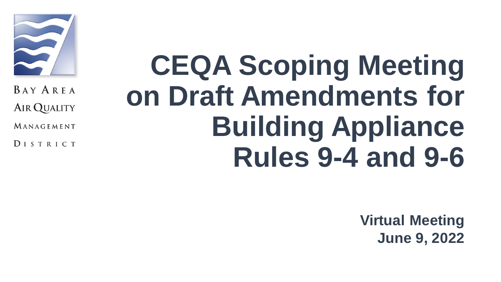

**BAY AREA** AIR QUALITY

MANAGEMENT

**DISTRICT** 

# **CEQA Scoping Meeting on Draft Amendments for Building Appliance Rules 9-4 and 9-6**

**Virtual Meeting June 9, 2022**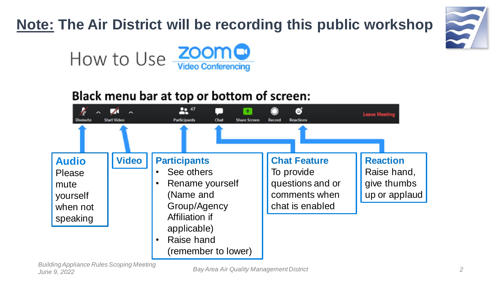### **Note: The Air District will be recording this public workshop**





#### Black menu bar at top or bottom of screen:

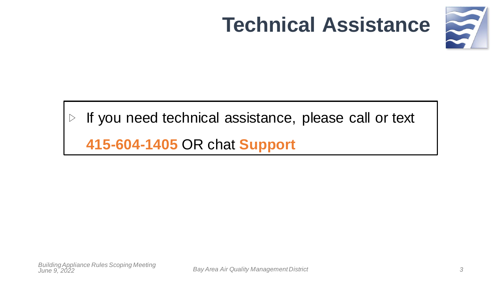# **Technical Assistance**



#### If you need technical assistance, please call or text  $\triangleright$

**415-604-1405** OR chat **Support**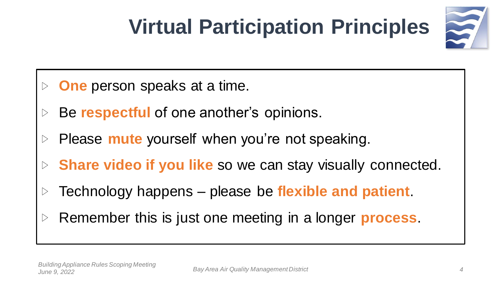# **Virtual Participation Principles**



- **One** person speaks at a time.
- Be **respectful** of one another's opinions.
- Please **mute** yourself when you're not speaking.
- **Share video if you like** so we can stay visually connected.
- Technology happens please be **flexible and patient**.
- Remember this is just one meeting in a longer **process**.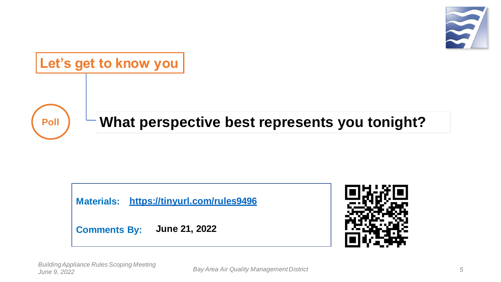





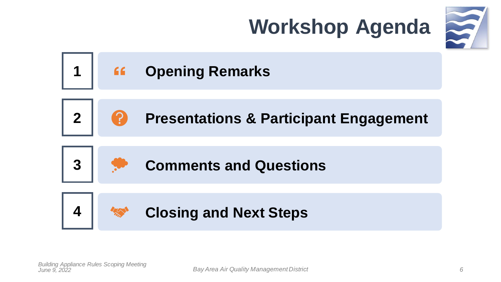





**Comments and Questions**

**Closing and Next Steps**

**3**

**4**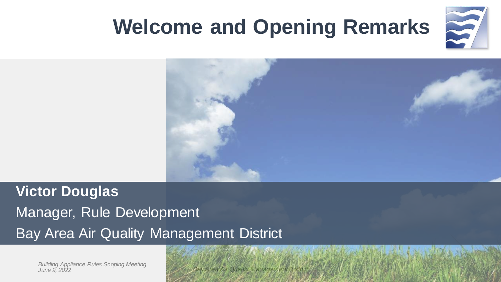

*7*

## **Welcome and Opening Remarks**



### **Victor Douglas** Manager, Rule Development Bay Area Air Quality Management District

*Building Appliance Rules Scoping Meeting June 9, 2022*

*Area Air Quality Management District*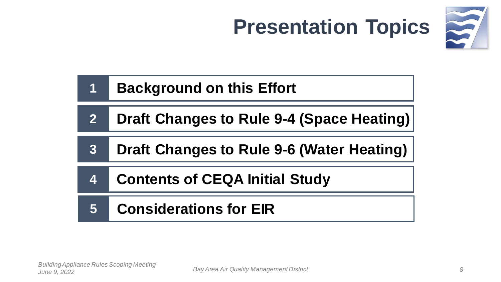



### **1 Background on this Effort**

- **2 Draft Changes to Rule 9-4 (Space Heating)**
- **3 Draft Changes to Rule 9-6 (Water Heating)**
- **4 Contents of CEQA Initial Study**

### **5 Considerations for EIR**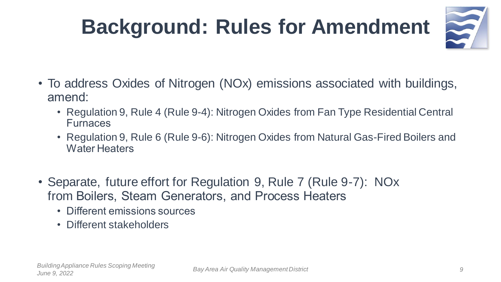# **Background: Rules for Amendment**



- To address Oxides of Nitrogen (NOx) emissions associated with buildings, amend:
	- Regulation 9, Rule 4 (Rule 9-4): Nitrogen Oxides from Fan Type Residential Central Furnaces
	- Regulation 9, Rule 6 (Rule 9-6): Nitrogen Oxides from Natural Gas-Fired Boilers and Water Heaters
- Separate, future effort for Regulation 9, Rule 7 (Rule 9-7): NOx from Boilers, Steam Generators, and Process Heaters
	- Different emissions sources
	- Different stakeholders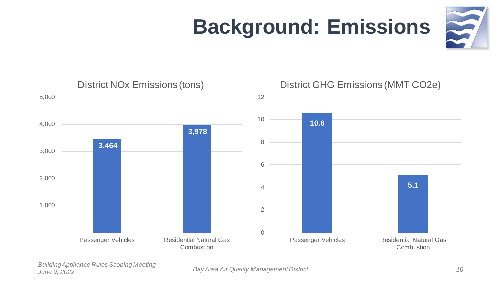

# **Background: Emissions**



*Building Appliance Rules Scoping Meeting June 9, 2022*

*Bay Area Air Quality Management District*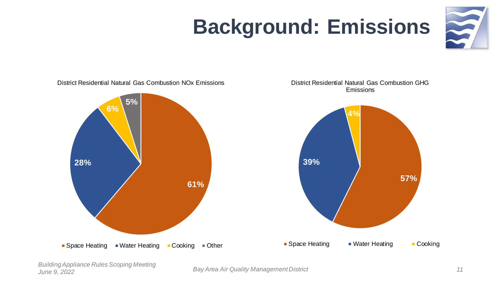# **Background: Emissions**





District Residential Natural Gas Combustion GHG Emissions

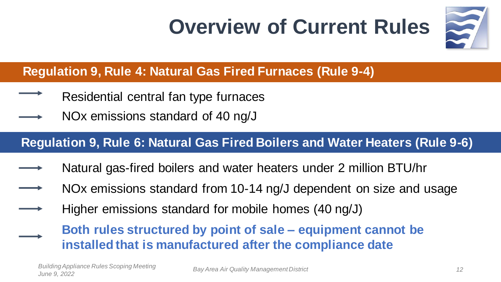## **Overview of Current Rules**



#### **Regulation 9, Rule 4: Natural Gas Fired Furnaces (Rule 9-4)**

- Residential central fan type furnaces
- NOx emissions standard of 40 ng/J

#### **Regulation 9, Rule 6: Natural Gas Fired Boilers and Water Heaters (Rule 9-6)**

- Natural gas-fired boilers and water heaters under 2 million BTU/hr
- NOx emissions standard from 10-14 ng/J dependent on size and usage
- Higher emissions standard for mobile homes (40 ng/J)

**Both rules structured by point of sale – equipment cannot be installed that is manufactured after the compliance date**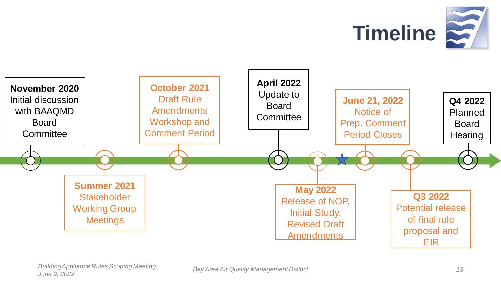

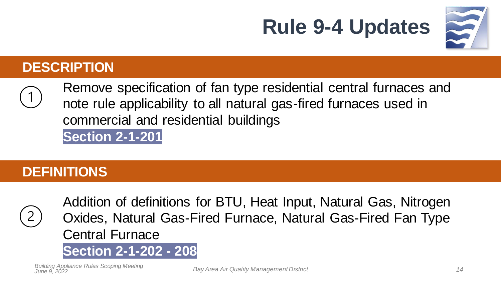

#### **DESCRIPTION**

Remove specification of fan type residential central furnaces and note rule applicability to all natural gas-fired furnaces used in commercial and residential buildings **Section 2-1-201**

**Rule 9-4 Updates**

#### **DEFINITIONS**



Addition of definitions for BTU, Heat Input, Natural Gas, Nitrogen Oxides, Natural Gas-Fired Furnace, Natural Gas-Fired Fan Type Central Furnace

#### **Section 2-1-202 - 208**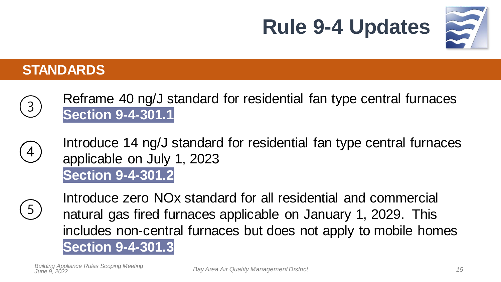

#### **STANDARDS**

- Reframe 40 ng/J standard for residential fan type central furnaces  $\left(3\right)$ **Section 9-4-301.1**
- Introduce 14 ng/J standard for residential fan type central furnaces  $\overline{4}$ applicable on July 1, 2023 **Section 9-4-301.2**
- $5^{\circ}$

Introduce zero NOx standard for all residential and commercial natural gas fired furnaces applicable on January 1, 2029. This includes non-central furnaces but does not apply to mobile homes **Section 9-4-301.3**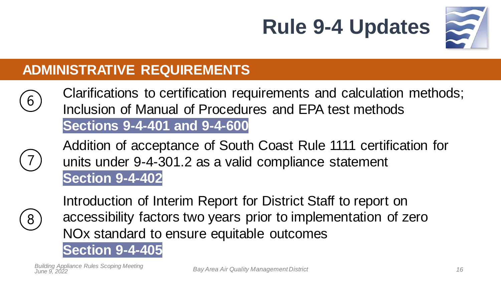



#### **ADMINISTRATIVE REQUIREMENTS**

Clarifications to certification requirements and calculation methods; 6 Inclusion of Manual of Procedures and EPA test methods **Sections 9-4-401 and 9-4-600**



Addition of acceptance of South Coast Rule 1111 certification for units under 9-4-301.2 as a valid compliance statement **Section 9-4-402**



Introduction of Interim Report for District Staff to report on accessibility factors two years prior to implementation of zero NOx standard to ensure equitable outcomes

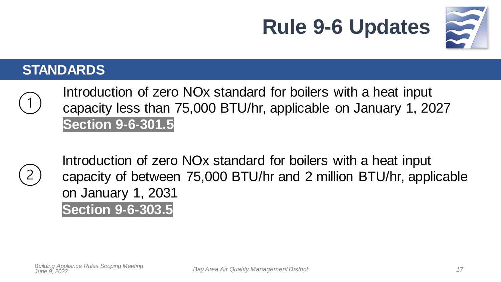

#### **STANDARDS**

Introduction of zero NOx standard for boilers with a heat input capacity less than 75,000 BTU/hr, applicable on January 1, 2027 **Section 9-6-301.5**

**Rule 9-6 Updates**



Introduction of zero NOx standard for boilers with a heat input capacity of between 75,000 BTU/hr and 2 million BTU/hr, applicable on January 1, 2031 **Section 9-6-303.5**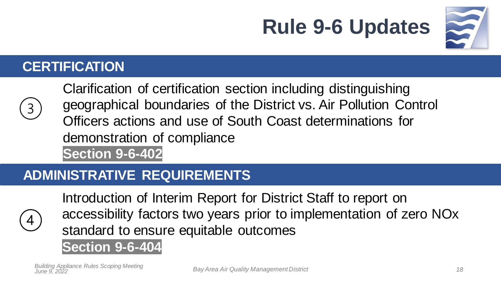

#### **CERTIFICATION**



Clarification of certification section including distinguishing geographical boundaries of the District vs. Air Pollution Control Officers actions and use of South Coast determinations for demonstration of compliance **Section 9-6-402**

**Rule 9-6 Updates**

#### **ADMINISTRATIVE REQUIREMENTS**



Introduction of Interim Report for District Staff to report on accessibility factors two years prior to implementation of zero NOx standard to ensure equitable outcomes

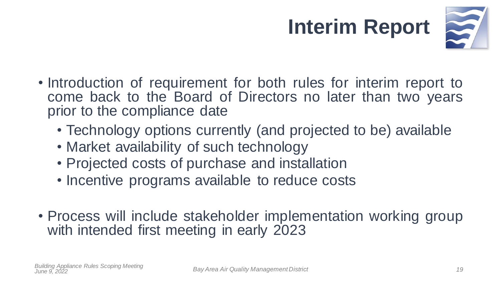# **Interim Report**



- Introduction of requirement for both rules for interim report to come back to the Board of Directors no later than two years prior to the compliance date
	- Technology options currently (and projected to be) available
	- Market availability of such technology
	- Projected costs of purchase and installation
	- Incentive programs available to reduce costs
- Process will include stakeholder implementation working group with intended first meeting in early 2023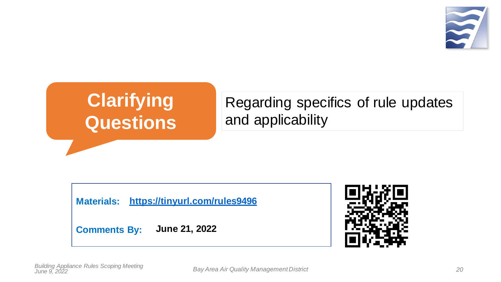

## **Clarifying Questions**

#### Regarding specifics of rule updates and applicability

**Materials: <https://tinyurl.com/rules9496>**

**Comments By: June 21, 2022**

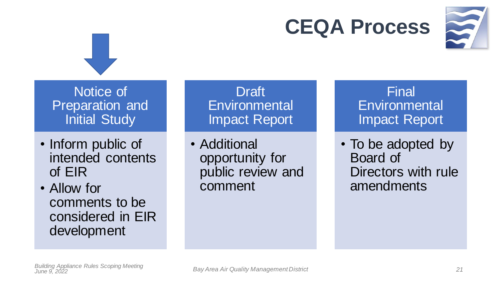## **CEQA Process**



Notice of Preparation and Initial Study

• Inform public of intended contents of EIR

• Allow for comments to be considered in EIR development

Draft **Environmental** Impact Report

• Additional opportunity for public review and comment

Final **Environmental** Impact Report

• To be adopted by Board of Directors with rule amendments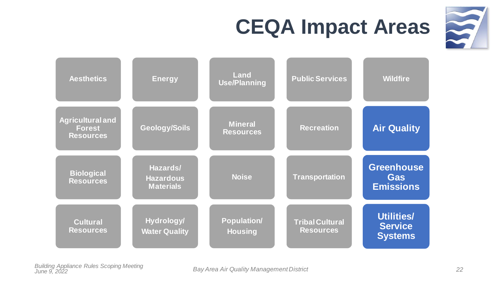

# **CEQA Impact Areas**

| <b>Aesthetics</b>                                            | <b>Energy</b>                                    | Land<br><b>Use/Planning</b>        | <b>Public Services</b> | <b>Wildfire</b>                                     |
|--------------------------------------------------------------|--------------------------------------------------|------------------------------------|------------------------|-----------------------------------------------------|
| <b>Agricultural and</b><br><b>Forest</b><br><b>Resources</b> | <b>Geology/Soils</b>                             | <b>Mineral</b><br><b>Resources</b> | <b>Recreation</b>      | <b>Air Quality</b>                                  |
| <b>Biological</b><br><b>Resources</b>                        | Hazards/<br><b>Hazardous</b><br><b>Materials</b> | <b>Noise</b>                       | <b>Transportation</b>  | <b>Greenhouse</b><br><b>Gas</b><br><b>Emissions</b> |
|                                                              |                                                  |                                    |                        |                                                     |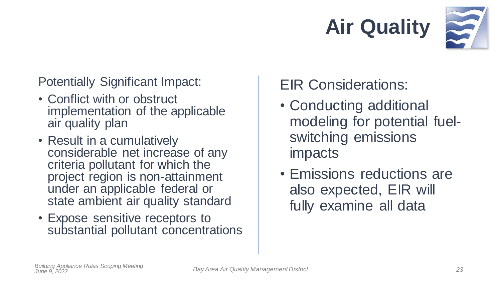



Potentially Significant Impact:

- Conflict with or obstruct implementation of the applicable air quality plan
- Result in a cumulatively considerable net increase of any criteria pollutant for which the project region is non-attainment under an applicable federal or state ambient air quality standard
- Expose sensitive receptors to substantial pollutant concentrations

### EIR Considerations:

- Conducting additional modeling for potential fuelswitching emissions impacts
- Emissions reductions are also expected, EIR will fully examine all data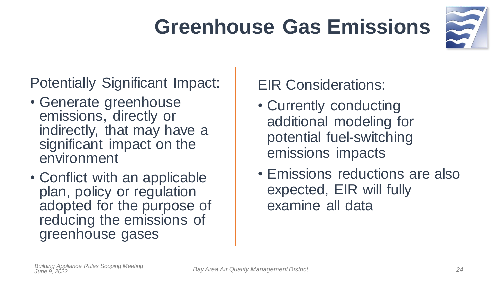# **Greenhouse Gas Emissions**



#### Potentially Significant Impact:

- Generate greenhouse emissions, directly or indirectly, that may have a significant impact on the environment
- Conflict with an applicable plan, policy or regulation adopted for the purpose of reducing the emissions of greenhouse gases

### EIR Considerations:

- Currently conducting additional modeling for potential fuel-switching emissions impacts
- Emissions reductions are also expected, EIR will fully examine all data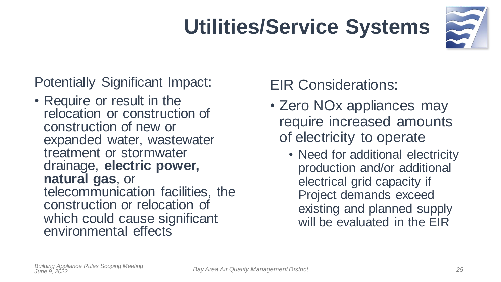# **Utilities/Service Systems**



Potentially Significant Impact:

• Require or result in the relocation or construction of construction of new or expanded water, wastewater treatment or stormwater drainage, **electric power, natural gas**, or telecommunication facilities, the construction or relocation of which could cause significant environmental effects

### EIR Considerations:

- Zero NOx appliances may require increased amounts of electricity to operate
	- Need for additional electricity production and/or additional electrical grid capacity if Project demands exceed existing and planned supply will be evaluated in the EIR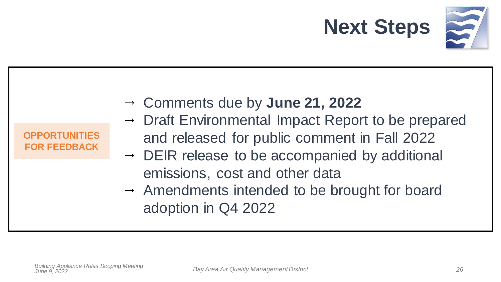

| <b>OPPORTUNITIES</b><br>and released for public comment in Fall 2022<br><b>FOR FEEDBACK</b><br>$\rightarrow$ DEIR release to be accompanied by additional<br>emissions, cost and other data<br>$\rightarrow$ Amendments intended to be brought for board<br>adoption in Q4 2022 |  | $\rightarrow$ Comments due by June 21, 2022<br>→ Draft Environmental Impact Report to be prepared |
|---------------------------------------------------------------------------------------------------------------------------------------------------------------------------------------------------------------------------------------------------------------------------------|--|---------------------------------------------------------------------------------------------------|
|---------------------------------------------------------------------------------------------------------------------------------------------------------------------------------------------------------------------------------------------------------------------------------|--|---------------------------------------------------------------------------------------------------|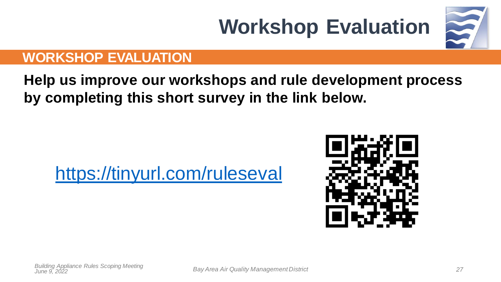# **Workshop Evaluation**

#### **WORKSHOP EVALUATION**

**Help us improve our workshops and rule development process by completing this short survey in the link below.**

### <https://tinyurl.com/ruleseval>

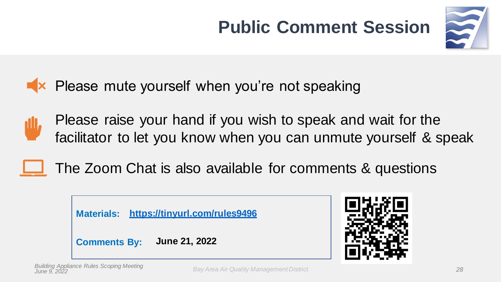## **Public Comment Session**



 $\blacktriangleright$  Please mute yourself when you're not speaking

Please raise your hand if you wish to speak and wait for the facilitator to let you know when you can unmute yourself & speak

### The Zoom Chat is also available for comments & questions



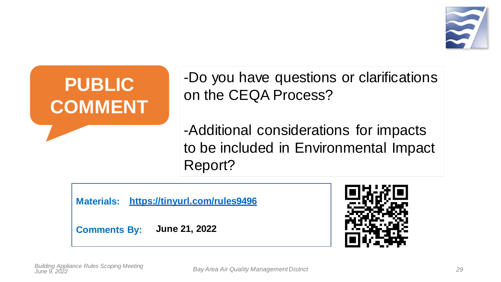



-Do you have questions or clarifications on the CEQA Process?

-Additional considerations for impacts to be included in Environmental Impact Report?

**Materials: <https://tinyurl.com/rules9496>**

**Comments By: June 21, 2022**